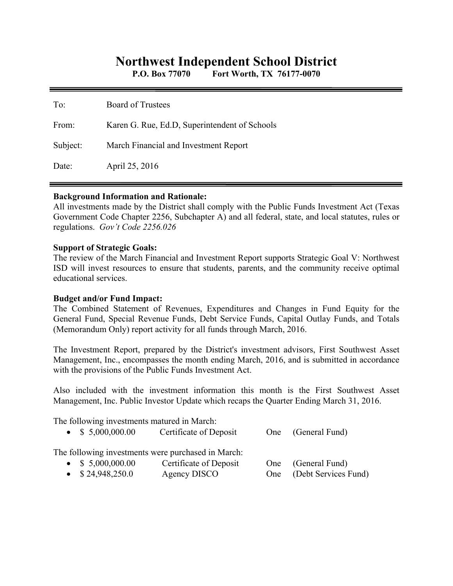# **Northwest Independent School District**

**P.O. Box 77070 Fort Worth, TX 76177-0070** 

| To:      | <b>Board of Trustees</b>                      |
|----------|-----------------------------------------------|
| From:    | Karen G. Rue, Ed.D, Superintendent of Schools |
| Subject: | March Financial and Investment Report         |
| Date:    | April 25, 2016                                |

#### **Background Information and Rationale:**

All investments made by the District shall comply with the Public Funds Investment Act (Texas Government Code Chapter 2256, Subchapter A) and all federal, state, and local statutes, rules or regulations. *Gov't Code 2256.026* 

#### **Support of Strategic Goals:**

The review of the March Financial and Investment Report supports Strategic Goal V: Northwest ISD will invest resources to ensure that students, parents, and the community receive optimal educational services.

## **Budget and/or Fund Impact:**

The Combined Statement of Revenues, Expenditures and Changes in Fund Equity for the General Fund, Special Revenue Funds, Debt Service Funds, Capital Outlay Funds, and Totals (Memorandum Only) report activity for all funds through March, 2016.

The Investment Report, prepared by the District's investment advisors, First Southwest Asset Management, Inc., encompasses the month ending March, 2016, and is submitted in accordance with the provisions of the Public Funds Investment Act.

Also included with the investment information this month is the First Southwest Asset Management, Inc. Public Investor Update which recaps the Quarter Ending March 31, 2016.

The following investments matured in March:

| $\bullet$ \$ 5,000,000.00 | Certificate of Deposit                             |     | One (General Fund)   |
|---------------------------|----------------------------------------------------|-----|----------------------|
|                           | The following investments were purchased in March: |     |                      |
| $\bullet$ \$ 5,000,000.00 | Certificate of Deposit                             | One | (General Fund)       |
| $\bullet$ \$24,948,250.0  | Agency DISCO                                       | One | (Debt Services Fund) |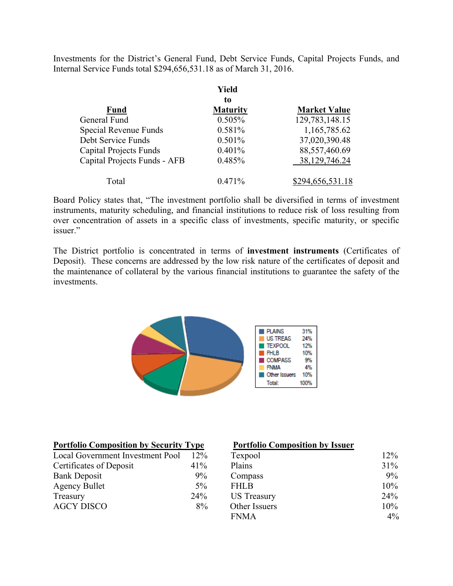Investments for the District's General Fund, Debt Service Funds, Capital Projects Funds, and Internal Service Funds total \$294,656,531.18 as of March 31, 2016.

|                               | Yield           |                     |
|-------------------------------|-----------------|---------------------|
|                               | to              |                     |
| <b>Fund</b>                   | <b>Maturity</b> | <b>Market Value</b> |
| General Fund                  | 0.505%          | 129,783,148.15      |
| Special Revenue Funds         | 0.581%          | 1,165,785.62        |
| Debt Service Funds            | 0.501%          | 37,020,390.48       |
| <b>Capital Projects Funds</b> | 0.401%          | 88,557,460.69       |
| Capital Projects Funds - AFB  | 0.485%          | 38,129,746.24       |
| Total                         | 0.471%          | \$294,656,531.18    |

Board Policy states that, "The investment portfolio shall be diversified in terms of investment instruments, maturity scheduling, and financial institutions to reduce risk of loss resulting from over concentration of assets in a specific class of investments, specific maturity, or specific issuer."

The District portfolio is concentrated in terms of **investment instruments** (Certificates of Deposit). These concerns are addressed by the low risk nature of the certificates of deposit and the maintenance of collateral by the various financial institutions to guarantee the safety of the investments.



| <b>Portfolio Composition by Security Type</b> |        | <b>Portfolio Composition by Issuer</b> |       |
|-----------------------------------------------|--------|----------------------------------------|-------|
| Local Government Investment Pool              | $12\%$ | Texpool                                | 12%   |
| Certificates of Deposit                       | 41%    | Plains                                 | 31%   |
| <b>Bank Deposit</b>                           | $9\%$  | Compass                                | 9%    |
| <b>Agency Bullet</b>                          | $5\%$  | <b>FHLB</b>                            | 10%   |
| Treasury                                      | 24%    | <b>US</b> Treasury                     | 24%   |
| <b>AGCY DISCO</b>                             | 8%     | Other Issuers                          | 10%   |
|                                               |        | <b>FNMA</b>                            | $4\%$ |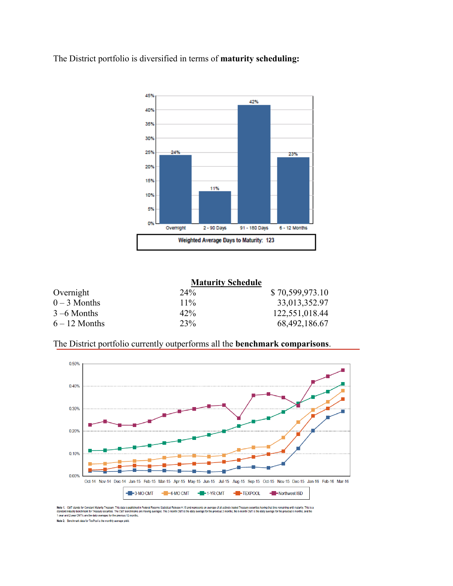The District portfolio is diversified in terms of **maturity scheduling:** 



**Maturity Schedule** 

|                 | <b>Maturity Schedule</b> |                 |
|-----------------|--------------------------|-----------------|
| Overnight       | 24 <sup>%</sup>          | \$70,599,973.10 |
| $0 - 3$ Months  | $11\%$                   | 33,013,352.97   |
| $3 - 6$ Months  | $42\%$                   | 122,551,018.44  |
| $6 - 12$ Months | 23%                      | 68,492,186.67   |
|                 |                          |                 |

The District portfolio currently outperforms all the **benchmark comparisons**.



Note 1: CMT stands for Constant Maturity Treasury. This data is published in Federal Reserve Stat<br>standard industry benchmark for Treasury securities. The CMT benchmarks are moving averages. Ti<br>1-year and 2-year CMT's are aded Treasury securities having that time remaining until maturity. This is a<br>.the 6-month CMT is the daily average for the previous 6 months, and the H.15 and ge of all ac The 3-m onclude 11.15 the Note 2: Benchmark data for TexPool is the monthly average yield.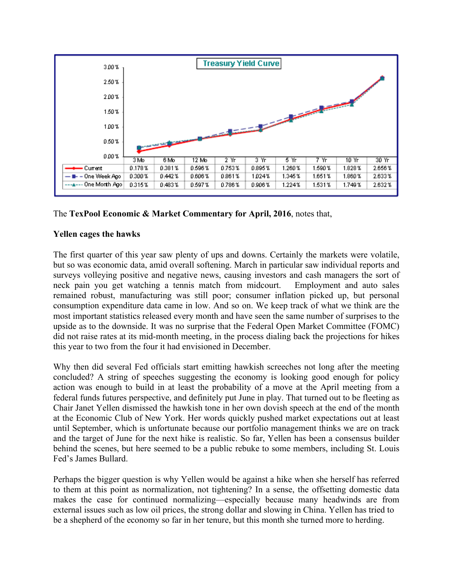

## The **TexPool Economic & Market Commentary for April, 2016**, notes that,

## **Yellen cages the hawks**

The first quarter of this year saw plenty of ups and downs. Certainly the markets were volatile, but so was economic data, amid overall softening. March in particular saw individual reports and surveys volleying positive and negative news, causing investors and cash managers the sort of neck pain you get watching a tennis match from midcourt. Employment and auto sales remained robust, manufacturing was still poor; consumer inflation picked up, but personal consumption expenditure data came in low. And so on. We keep track of what we think are the most important statistics released every month and have seen the same number of surprises to the upside as to the downside. It was no surprise that the Federal Open Market Committee (FOMC) did not raise rates at its mid-month meeting, in the process dialing back the projections for hikes this year to two from the four it had envisioned in December.

Why then did several Fed officials start emitting hawkish screeches not long after the meeting concluded? A string of speeches suggesting the economy is looking good enough for policy action was enough to build in at least the probability of a move at the April meeting from a federal funds futures perspective, and definitely put June in play. That turned out to be fleeting as Chair Janet Yellen dismissed the hawkish tone in her own dovish speech at the end of the month at the Economic Club of New York. Her words quickly pushed market expectations out at least until September, which is unfortunate because our portfolio management thinks we are on track and the target of June for the next hike is realistic. So far, Yellen has been a consensus builder behind the scenes, but here seemed to be a public rebuke to some members, including St. Louis Fed's James Bullard.

Perhaps the bigger question is why Yellen would be against a hike when she herself has referred to them at this point as normalization, not tightening? In a sense, the offsetting domestic data makes the case for continued normalizing—especially because many headwinds are from external issues such as low oil prices, the strong dollar and slowing in China. Yellen has tried to be a shepherd of the economy so far in her tenure, but this month she turned more to herding.